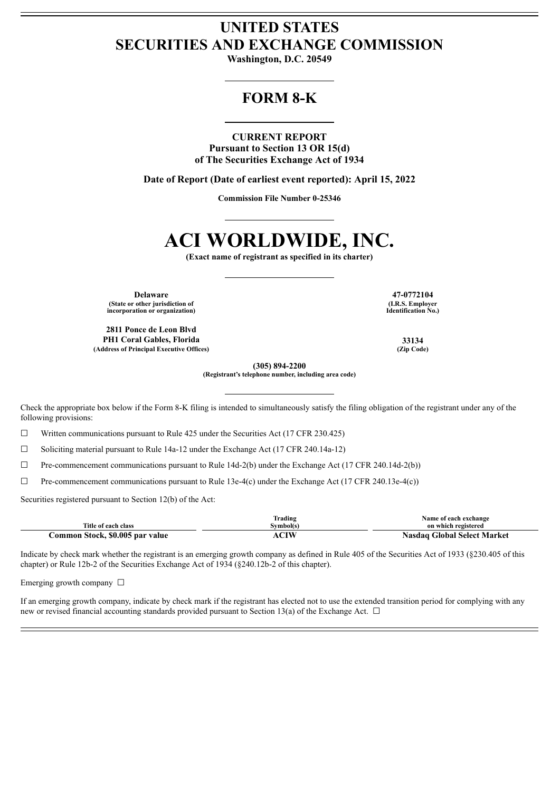# **UNITED STATES SECURITIES AND EXCHANGE COMMISSION**

**Washington, D.C. 20549**

## **FORM 8-K**

#### **CURRENT REPORT**

**Pursuant to Section 13 OR 15(d) of The Securities Exchange Act of 1934**

**Date of Report (Date of earliest event reported): April 15, 2022**

**Commission File Number 0-25346**

# **ACI WORLDWIDE, INC.**

**(Exact name of registrant as specified in its charter)**

**Delaware 47-0772104 (State or other jurisdiction of incorporation or organization)**

**2811 Ponce de Leon Blvd PH1 Coral Gables, Florida 33134 (Address of Principal Executive Offices) (Zip Code)**

**(I.R.S. Employer Identification No.)**

**(305) 894-2200**

**(Registrant's telephone number, including area code)**

Check the appropriate box below if the Form 8-K filing is intended to simultaneously satisfy the filing obligation of the registrant under any of the following provisions:

 $\Box$  Written communications pursuant to Rule 425 under the Securities Act (17 CFR 230.425)

☐ Soliciting material pursuant to Rule 14a-12 under the Exchange Act (17 CFR 240.14a-12)

 $\Box$  Pre-commencement communications pursuant to Rule 14d-2(b) under the Exchange Act (17 CFR 240.14d-2(b))

 $\Box$  Pre-commencement communications pursuant to Rule 13e-4(c) under the Exchange Act (17 CFR 240.13e-4(c))

Securities registered pursuant to Section 12(b) of the Act:

|                                 | l`rading  | Name of each exchange       |
|---------------------------------|-----------|-----------------------------|
| Title of each class             | Svmbol(s) | on which registered         |
| Common Stock, \$0.005 par value |           | Nasdag Global Select Market |

Indicate by check mark whether the registrant is an emerging growth company as defined in Rule 405 of the Securities Act of 1933 (§230.405 of this chapter) or Rule 12b-2 of the Securities Exchange Act of 1934 (§240.12b-2 of this chapter).

Emerging growth company  $\Box$ 

If an emerging growth company, indicate by check mark if the registrant has elected not to use the extended transition period for complying with any new or revised financial accounting standards provided pursuant to Section 13(a) of the Exchange Act.  $\Box$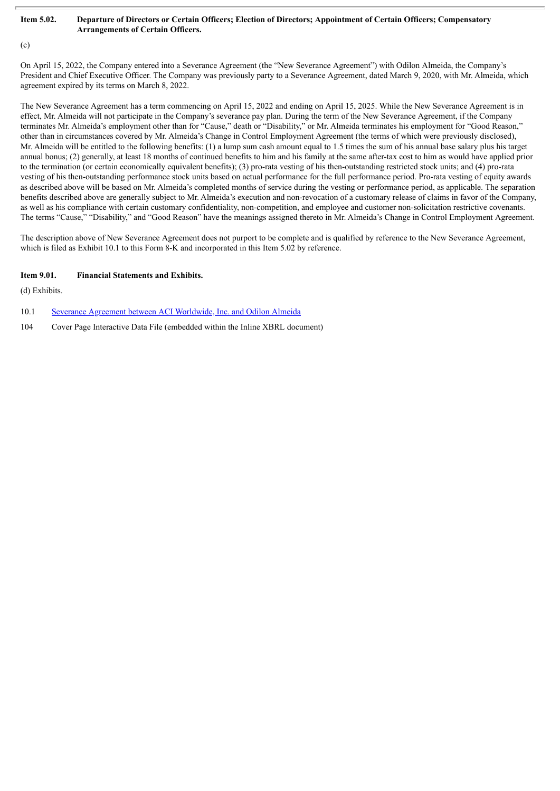#### Item 5.02. Departure of Directors or Certain Officers; Election of Directors; Appointment of Certain Officers; Compensatory **Arrangements of Certain Officers.**

(c)

On April 15, 2022, the Company entered into a Severance Agreement (the "New Severance Agreement") with Odilon Almeida, the Company's President and Chief Executive Officer. The Company was previously party to a Severance Agreement, dated March 9, 2020, with Mr. Almeida, which agreement expired by its terms on March 8, 2022.

The New Severance Agreement has a term commencing on April 15, 2022 and ending on April 15, 2025. While the New Severance Agreement is in effect, Mr. Almeida will not participate in the Company's severance pay plan. During the term of the New Severance Agreement, if the Company terminates Mr. Almeida's employment other than for "Cause," death or "Disability," or Mr. Almeida terminates his employment for "Good Reason," other than in circumstances covered by Mr. Almeida's Change in Control Employment Agreement (the terms of which were previously disclosed), Mr. Almeida will be entitled to the following benefits: (1) a lump sum cash amount equal to 1.5 times the sum of his annual base salary plus his target annual bonus; (2) generally, at least 18 months of continued benefits to him and his family at the same after-tax cost to him as would have applied prior to the termination (or certain economically equivalent benefits); (3) pro-rata vesting of his then-outstanding restricted stock units; and (4) pro-rata vesting of his then-outstanding performance stock units based on actual performance for the full performance period. Pro-rata vesting of equity awards as described above will be based on Mr. Almeida's completed months of service during the vesting or performance period, as applicable. The separation benefits described above are generally subject to Mr. Almeida's execution and non-revocation of a customary release of claims in favor of the Company, as well as his compliance with certain customary confidentiality, non-competition, and employee and customer non-solicitation restrictive covenants. The terms "Cause," "Disability," and "Good Reason" have the meanings assigned thereto in Mr. Almeida's Change in Control Employment Agreement.

The description above of New Severance Agreement does not purport to be complete and is qualified by reference to the New Severance Agreement, which is filed as Exhibit 10.1 to this Form 8-K and incorporated in this Item 5.02 by reference.

#### **Item 9.01. Financial Statements and Exhibits.**

(d) Exhibits.

10.1 Severance Agreement between ACI [Worldwide,](#page-3-0) Inc. and Odilon Almeida

104 Cover Page Interactive Data File (embedded within the Inline XBRL document)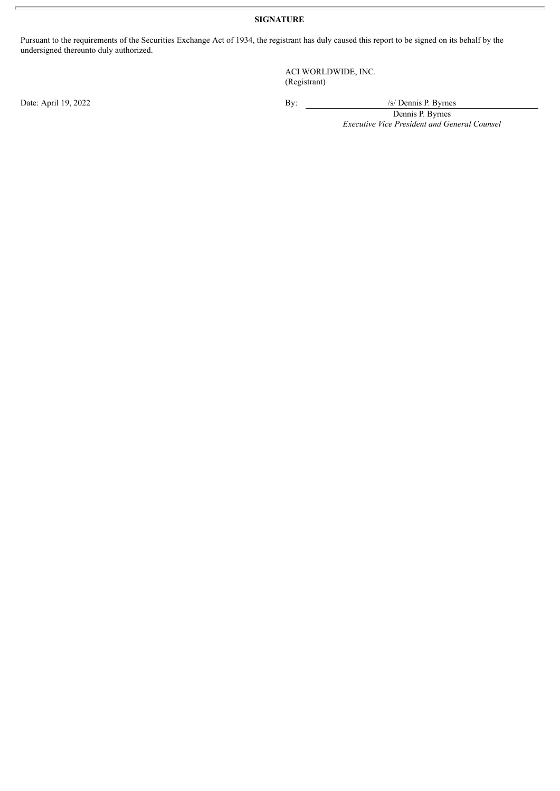### **SIGNATURE**

Pursuant to the requirements of the Securities Exchange Act of 1934, the registrant has duly caused this report to be signed on its behalf by the undersigned thereunto duly authorized.

> ACI WORLDWIDE, INC. (Registrant)

Date: April 19, 2022 <br>By: /s/ Dennis P. Byrnes

Dennis P. Byrnes *Executive Vice President and General Counsel*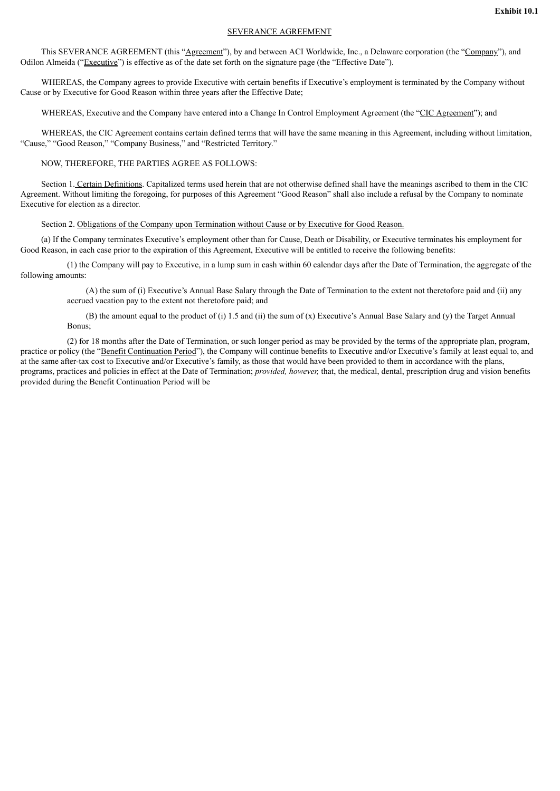#### SEVERANCE AGREEMENT

<span id="page-3-0"></span>This SEVERANCE AGREEMENT (this "Agreement"), by and between ACI Worldwide, Inc., a Delaware corporation (the "Company"), and Odilon Almeida ("Executive") is effective as of the date set forth on the signature page (the "Effective Date").

WHEREAS, the Company agrees to provide Executive with certain benefits if Executive's employment is terminated by the Company without Cause or by Executive for Good Reason within three years after the Effective Date;

WHEREAS, Executive and the Company have entered into a Change In Control Employment Agreement (the "CIC Agreement"); and

WHEREAS, the CIC Agreement contains certain defined terms that will have the same meaning in this Agreement, including without limitation, "Cause," "Good Reason," "Company Business," and "Restricted Territory."

NOW, THEREFORE, THE PARTIES AGREE AS FOLLOWS:

Section 1. Certain Definitions. Capitalized terms used herein that are not otherwise defined shall have the meanings ascribed to them in the CIC Agreement. Without limiting the foregoing, for purposes of this Agreement "Good Reason" shall also include a refusal by the Company to nominate Executive for election as a director.

Section 2. Obligations of the Company upon Termination without Cause or by Executive for Good Reason.

(a) If the Company terminates Executive's employment other than for Cause, Death or Disability, or Executive terminates his employment for Good Reason, in each case prior to the expiration of this Agreement, Executive will be entitled to receive the following benefits:

(1) the Company will pay to Executive, in a lump sum in cash within 60 calendar days after the Date of Termination, the aggregate of the following amounts:

(A) the sum of (i) Executive's Annual Base Salary through the Date of Termination to the extent not theretofore paid and (ii) any accrued vacation pay to the extent not theretofore paid; and

(B) the amount equal to the product of (i) 1.5 and (ii) the sum of (x) Executive's Annual Base Salary and (y) the Target Annual Bonus;

(2) for 18 months after the Date of Termination, or such longer period as may be provided by the terms of the appropriate plan, program, practice or policy (the "Benefit Continuation Period"), the Company will continue benefits to Executive and/or Executive's family at least equal to, and at the same after-tax cost to Executive and/or Executive's family, as those that would have been provided to them in accordance with the plans, programs, practices and policies in effect at the Date of Termination; *provided, however,* that, the medical, dental, prescription drug and vision benefits provided during the Benefit Continuation Period will be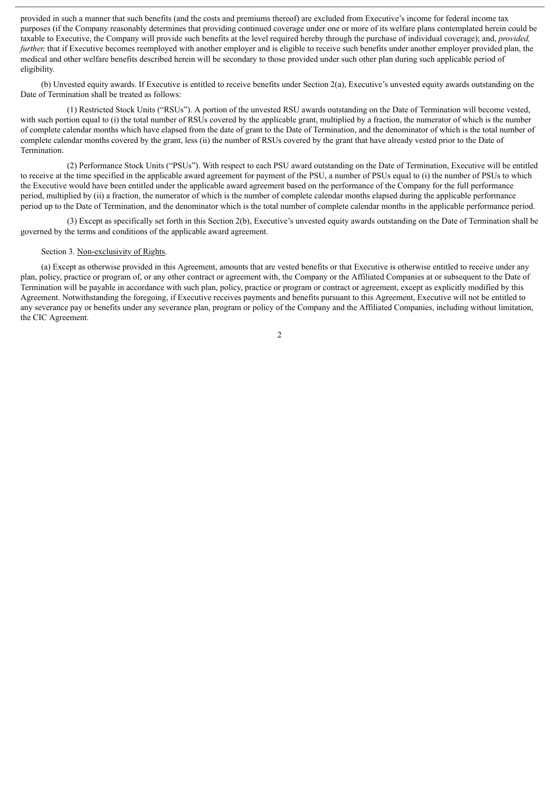provided in such a manner that such benefits (and the costs and premiums thereof) are excluded from Executive's income for federal income tax purposes (if the Company reasonably determines that providing continued coverage under one or more of its welfare plans contemplated herein could be taxable to Executive, the Company will provide such benefits at the level required hereby through the purchase of individual coverage); and, *provided, further*, that if Executive becomes reemployed with another employer and is eligible to receive such benefits under another employer provided plan, the medical and other welfare benefits described herein will be secondary to those provided under such other plan during such applicable period of eligibility.

(b) Unvested equity awards. If Executive is entitled to receive benefits under Section 2(a), Executive's unvested equity awards outstanding on the Date of Termination shall be treated as follows:

(1) Restricted Stock Units ("RSUs"). A portion of the unvested RSU awards outstanding on the Date of Termination will become vested, with such portion equal to (i) the total number of RSUs covered by the applicable grant, multiplied by a fraction, the numerator of which is the number of complete calendar months which have elapsed from the date of grant to the Date of Termination, and the denominator of which is the total number of complete calendar months covered by the grant, less (ii) the number of RSUs covered by the grant that have already vested prior to the Date of Termination.

(2) Performance Stock Units ("PSUs"). With respect to each PSU award outstanding on the Date of Termination, Executive will be entitled to receive at the time specified in the applicable award agreement for payment of the PSU, a number of PSUs equal to (i) the number of PSUs to which the Executive would have been entitled under the applicable award agreement based on the performance of the Company for the full performance period, multiplied by (ii) a fraction, the numerator of which is the number of complete calendar months elapsed during the applicable performance period up to the Date of Termination, and the denominator which is the total number of complete calendar months in the applicable performance period.

(3) Except as specifically set forth in this Section 2(b), Executive's unvested equity awards outstanding on the Date of Termination shall be governed by the terms and conditions of the applicable award agreement.

#### Section 3. Non-exclusivity of Rights.

(a) Except as otherwise provided in this Agreement, amounts that are vested benefits or that Executive is otherwise entitled to receive under any plan, policy, practice or program of, or any other contract or agreement with, the Company or the Affiliated Companies at or subsequent to the Date of Termination will be payable in accordance with such plan, policy, practice or program or contract or agreement, except as explicitly modified by this Agreement. Notwithstanding the foregoing, if Executive receives payments and benefits pursuant to this Agreement, Executive will not be entitled to any severance pay or benefits under any severance plan, program or policy of the Company and the Affiliated Companies, including without limitation, the CIC Agreement.

2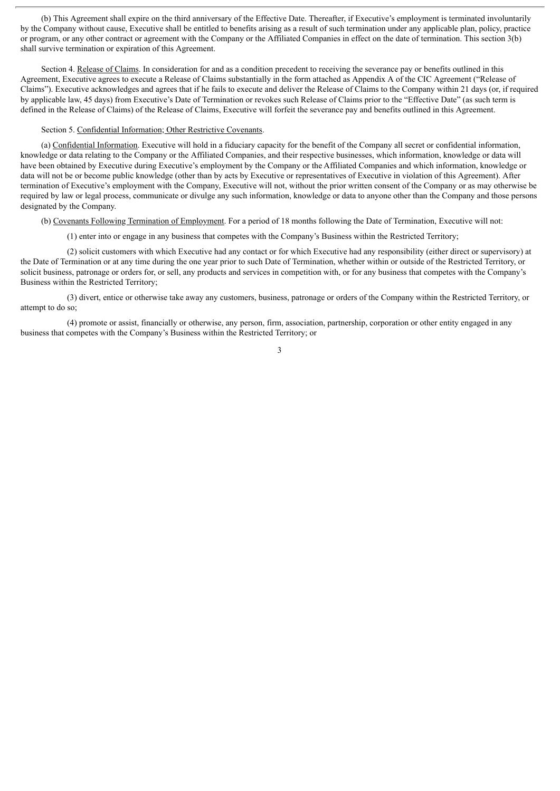(b) This Agreement shall expire on the third anniversary of the Effective Date. Thereafter, if Executive's employment is terminated involuntarily by the Company without cause, Executive shall be entitled to benefits arising as a result of such termination under any applicable plan, policy, practice or program, or any other contract or agreement with the Company or the Affiliated Companies in effect on the date of termination. This section 3(b) shall survive termination or expiration of this Agreement.

Section 4. Release of Claims. In consideration for and as a condition precedent to receiving the severance pay or benefits outlined in this Agreement, Executive agrees to execute a Release of Claims substantially in the form attached as Appendix A of the CIC Agreement ("Release of Claims"). Executive acknowledges and agrees that if he fails to execute and deliver the Release of Claims to the Company within 21 days (or, if required by applicable law, 45 days) from Executive's Date of Termination or revokes such Release of Claims prior to the "Effective Date" (as such term is defined in the Release of Claims) of the Release of Claims, Executive will forfeit the severance pay and benefits outlined in this Agreement.

#### Section 5. Confidential Information; Other Restrictive Covenants.

(a) Confidential Information. Executive will hold in a fiduciary capacity for the benefit of the Company all secret or confidential information, knowledge or data relating to the Company or the Affiliated Companies, and their respective businesses, which information, knowledge or data will have been obtained by Executive during Executive's employment by the Company or the Affiliated Companies and which information, knowledge or data will not be or become public knowledge (other than by acts by Executive or representatives of Executive in violation of this Agreement). After termination of Executive's employment with the Company, Executive will not, without the prior written consent of the Company or as may otherwise be required by law or legal process, communicate or divulge any such information, knowledge or data to anyone other than the Company and those persons designated by the Company.

(b) Covenants Following Termination of Employment. For a period of 18 months following the Date of Termination, Executive will not:

(1) enter into or engage in any business that competes with the Company's Business within the Restricted Territory;

(2) solicit customers with which Executive had any contact or for which Executive had any responsibility (either direct or supervisory) at the Date of Termination or at any time during the one year prior to such Date of Termination, whether within or outside of the Restricted Territory, or solicit business, patronage or orders for, or sell, any products and services in competition with, or for any business that competes with the Company's Business within the Restricted Territory;

(3) divert, entice or otherwise take away any customers, business, patronage or orders of the Company within the Restricted Territory, or attempt to do so;

(4) promote or assist, financially or otherwise, any person, firm, association, partnership, corporation or other entity engaged in any business that competes with the Company's Business within the Restricted Territory; or

3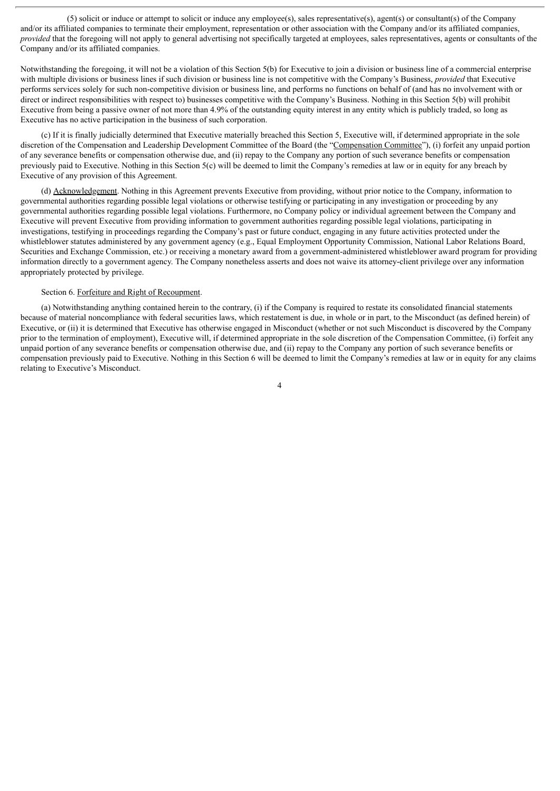(5) solicit or induce or attempt to solicit or induce any employee(s), sales representative(s), agent(s) or consultant(s) of the Company and/or its affiliated companies to terminate their employment, representation or other association with the Company and/or its affiliated companies, *provided* that the foregoing will not apply to general advertising not specifically targeted at employees, sales representatives, agents or consultants of the Company and/or its affiliated companies.

Notwithstanding the foregoing, it will not be a violation of this Section 5(b) for Executive to join a division or business line of a commercial enterprise with multiple divisions or business lines if such division or business line is not competitive with the Company's Business, *provided* that Executive performs services solely for such non-competitive division or business line, and performs no functions on behalf of (and has no involvement with or direct or indirect responsibilities with respect to) businesses competitive with the Company's Business. Nothing in this Section 5(b) will prohibit Executive from being a passive owner of not more than 4.9% of the outstanding equity interest in any entity which is publicly traded, so long as Executive has no active participation in the business of such corporation.

(c) If it is finally judicially determined that Executive materially breached this Section 5, Executive will, if determined appropriate in the sole discretion of the Compensation and Leadership Development Committee of the Board (the "Compensation Committee"), (i) forfeit any unpaid portion of any severance benefits or compensation otherwise due, and (ii) repay to the Company any portion of such severance benefits or compensation previously paid to Executive. Nothing in this Section 5(c) will be deemed to limit the Company's remedies at law or in equity for any breach by Executive of any provision of this Agreement.

(d) Acknowledgement. Nothing in this Agreement prevents Executive from providing, without prior notice to the Company, information to governmental authorities regarding possible legal violations or otherwise testifying or participating in any investigation or proceeding by any governmental authorities regarding possible legal violations. Furthermore, no Company policy or individual agreement between the Company and Executive will prevent Executive from providing information to government authorities regarding possible legal violations, participating in investigations, testifying in proceedings regarding the Company's past or future conduct, engaging in any future activities protected under the whistleblower statutes administered by any government agency (e.g., Equal Employment Opportunity Commission, National Labor Relations Board, Securities and Exchange Commission, etc.) or receiving a monetary award from a government-administered whistleblower award program for providing information directly to a government agency. The Company nonetheless asserts and does not waive its attorney-client privilege over any information appropriately protected by privilege.

#### Section 6. Forfeiture and Right of Recoupment.

(a) Notwithstanding anything contained herein to the contrary, (i) if the Company is required to restate its consolidated financial statements because of material noncompliance with federal securities laws, which restatement is due, in whole or in part, to the Misconduct (as defined herein) of Executive, or (ii) it is determined that Executive has otherwise engaged in Misconduct (whether or not such Misconduct is discovered by the Company prior to the termination of employment), Executive will, if determined appropriate in the sole discretion of the Compensation Committee, (i) forfeit any unpaid portion of any severance benefits or compensation otherwise due, and (ii) repay to the Company any portion of such severance benefits or compensation previously paid to Executive. Nothing in this Section 6 will be deemed to limit the Company's remedies at law or in equity for any claims relating to Executive's Misconduct.

4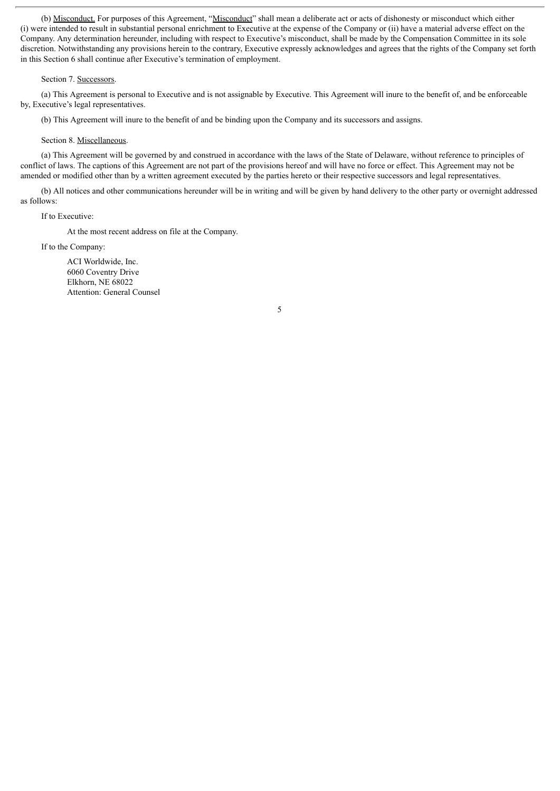(b) Misconduct. For purposes of this Agreement, "Misconduct" shall mean a deliberate act or acts of dishonesty or misconduct which either (i) were intended to result in substantial personal enrichment to Executive at the expense of the Company or (ii) have a material adverse effect on the Company. Any determination hereunder, including with respect to Executive's misconduct, shall be made by the Compensation Committee in its sole discretion. Notwithstanding any provisions herein to the contrary, Executive expressly acknowledges and agrees that the rights of the Company set forth in this Section 6 shall continue after Executive's termination of employment.

#### Section 7. Successors.

(a) This Agreement is personal to Executive and is not assignable by Executive. This Agreement will inure to the benefit of, and be enforceable by, Executive's legal representatives.

(b) This Agreement will inure to the benefit of and be binding upon the Company and its successors and assigns.

#### Section 8. Miscellaneous.

(a) This Agreement will be governed by and construed in accordance with the laws of the State of Delaware, without reference to principles of conflict of laws. The captions of this Agreement are not part of the provisions hereof and will have no force or effect. This Agreement may not be amended or modified other than by a written agreement executed by the parties hereto or their respective successors and legal representatives.

(b) All notices and other communications hereunder will be in writing and will be given by hand delivery to the other party or overnight addressed as follows:

If to Executive:

At the most recent address on file at the Company.

If to the Company:

ACI Worldwide, Inc. 6060 Coventry Drive Elkhorn, NE 68022 Attention: General Counsel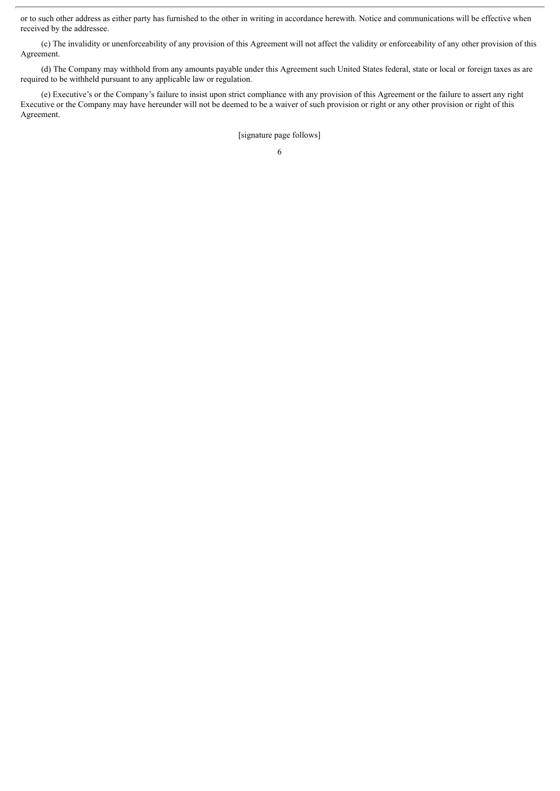or to such other address as either party has furnished to the other in writing in accordance herewith. Notice and communications will be effective when received by the addressee.

(c) The invalidity or unenforceability of any provision of this Agreement will not affect the validity or enforceability of any other provision of this Agreement.

(d) The Company may withhold from any amounts payable under this Agreement such United States federal, state or local or foreign taxes as are required to be withheld pursuant to any applicable law or regulation.

(e) Executive's or the Company's failure to insist upon strict compliance with any provision of this Agreement or the failure to assert any right Executive or the Company may have hereunder will not be deemed to be a waiver of such provision or right or any other provision or right of this Agreement.

[signature page follows]